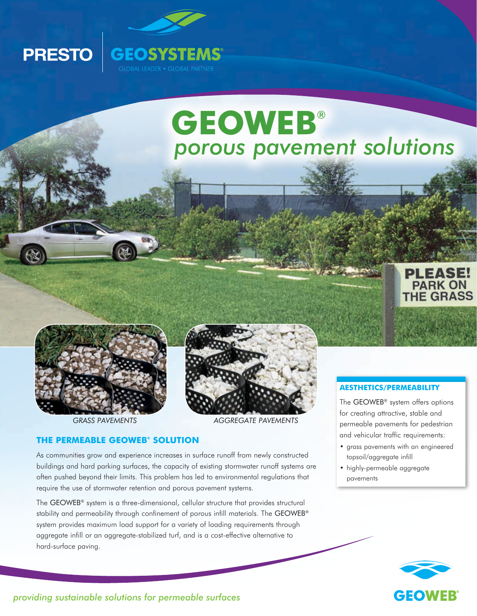

# **GEOWEB**® *porous pavement solutions*





**PRESTO** 



*GRASS PAVEMENTS AGGREGATE PAVEMENTS*

#### **THE PERMEABLE GEOWEB® SOLUTION**

As communities grow and experience increases in surface runoff from newly constructed buildings and hard parking surfaces, the capacity of existing stormwater runoff systems are often pushed beyond their limits. This problem has led to environmental regulations that require the use of stormwater retention and porous pavement systems.

The GEOWEB® system is a three-dimensional, cellular structure that provides structural stability and permeability through confinement of porous infill materials. The GEOWEB® system provides maximum load support for a variety of loading requirements through aggregate infill or an aggregate-stabilized turf, and is a cost-effective alternative to hard-surface paving.

#### **AESTHETICS/PERMEABILITY**

The GEOWEB® system offers options for creating attractive, stable and permeable pavements for pedestrian and vehicular traffic requirements:

- grass pavements with an engineered topsoil/aggregate infill
- highly-permeable aggregate pavements



*providing sustainable solutions for permeable surfaces*